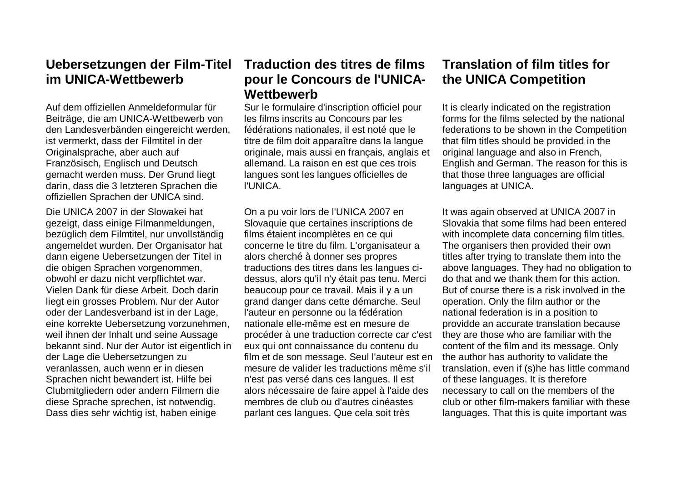**Uebersetzungen der Film-Titel im UNICA-Wettbewerb**

Auf dem offiziellen Anmeldeformular für Beiträge, die am UNICA-Wettbewerb von den Landesverbänden eingereicht werden, ist vermerkt, dass der Filmtitel in der Originalsprache, aber auch auf Französisch, Englisch und Deutsch gemacht werden muss. Der Grund liegt darin, dass die 3 letzteren Sprachen die offiziellen Sprachen der UNICA sind.

Die UNICA 2007 in der Slowakei hat gezeigt, dass einige Filmanmeldungen, bezüglich dem Filmtitel, nur unvollständig angemeldet wurden. Der Organisator hat dann eigene Uebersetzungen der Titel in die obigen Sprachen vorgenommen, obwohl er dazu nicht verpflichtet war. Vielen Dank für diese Arbeit. Doch darin liegt ein grosses Problem. Nur der Autor oder der Landesverband ist in der Lage, eine korrekte Uebersetzung vorzunehmen, weil ihnen der Inhalt und seine Aussage bekannt sind. Nur der Autor ist eigentlich in der Lage die Uebersetzungen zu veranlassen, auch wenn er in diesen Sprachen nicht bewandert ist. Hilfe bei Clubmitgliedern oder andern Filmern die diese Sprache sprechen, ist notwendig. Dass dies sehr wichtig ist, haben einige

## **Traduction des titres de films pour le Concours de l'UNICA-Wettbewerb**

Sur le formulaire d'inscription officiel pour les films inscrits au Concours par les fédérations nationales, il est noté que le titre de film doit apparaître dans la langue originale, mais aussi en français, anglais et allemand. La raison en est que ces trois langues sont les langues officielles de l'UNICA.

On a pu voir lors de l'UNICA 2007 en Slovaquie que certaines inscriptions de films étaient incomplètes en ce qui concerne le titre du film. L'organisateur a alors cherché à donner ses propres traductions des titres dans les langues cidessus, alors qu'il n'y était pas tenu. Merci beaucoup pour ce travail. Mais il y a un grand danger dans cette démarche. Seul l'auteur en personne ou la fédération nationale elle-même est en mesure de procéder à une traduction correcte car c'est eux qui ont connaissance du contenu du film et de son message. Seul l'auteur est en mesure de valider les traductions même s'il n'est pas versé dans ces langues. Il est alors nécessaire de faire appel à l'aide des membres de club ou d'autres cinéastes parlant ces langues. Que cela soit très

## **Translation of film titles for the UNICA Competition**

It is clearly indicated on the registration forms for the films selected by the national federations to be shown in the Competition that film titles should be provided in the original language and also in French, English and German. The reason for this is that those three languages are official languages at UNICA.

It was again observed at UNICA 2007 in Slovakia that some films had been entered with incomplete data concerning film titles. The organisers then provided their own titles after trying to translate them into the above languages. They had no obligation to do that and we thank them for this action. But of course there is a risk involved in the operation. Only the film author or the national federation is in a position to providde an accurate translation because they are those who are familiar with the content of the film and its message. Only the author has authority to validate the translation, even if (s)he has little command of these languages. It is therefore necessary to call on the members of the club or other film-makers familiar with these languages. That this is quite important was